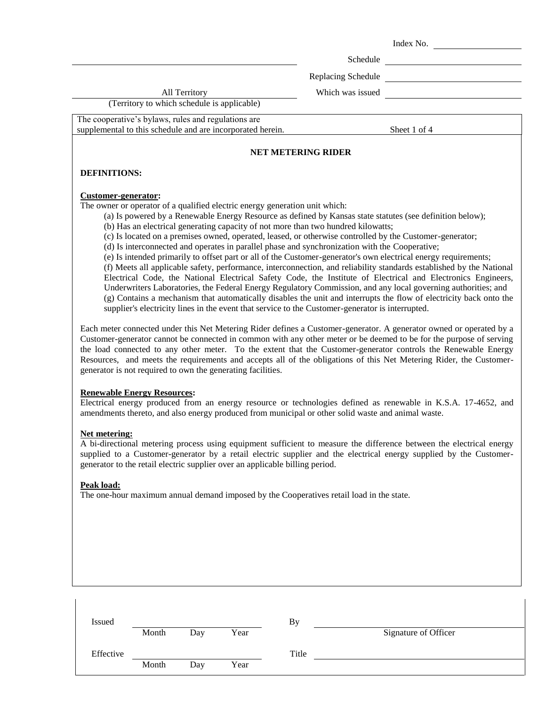|                                                            |                    | Index No.    |  |  |  |  |
|------------------------------------------------------------|--------------------|--------------|--|--|--|--|
|                                                            | Schedule           |              |  |  |  |  |
|                                                            | Replacing Schedule |              |  |  |  |  |
| <b>All Territory</b>                                       | Which was issued   |              |  |  |  |  |
| (Territory to which schedule is applicable)                |                    |              |  |  |  |  |
| The cooperative's bylaws, rules and regulations are        |                    |              |  |  |  |  |
| supplemental to this schedule and are incorporated herein. |                    | Sheet 1 of 4 |  |  |  |  |
| <b>NET METERING RIDER</b>                                  |                    |              |  |  |  |  |
| <b>DEFINITIONS:</b>                                        |                    |              |  |  |  |  |
| Customer-generator:                                        |                    |              |  |  |  |  |

The owner or operator of a qualified electric energy generation unit which:

(a) Is powered by a Renewable Energy Resource as defined by Kansas state statutes (see definition below);

(b) Has an electrical generating capacity of not more than two hundred kilowatts;

(c) Is located on a premises owned, operated, leased, or otherwise controlled by the Customer-generator;

(d) Is interconnected and operates in parallel phase and synchronization with the Cooperative;

(e) Is intended primarily to offset part or all of the Customer-generator's own electrical energy requirements; (f) Meets all applicable safety, performance, interconnection, and reliability standards established by the National Electrical Code, the National Electrical Safety Code, the Institute of Electrical and Electronics Engineers, Underwriters Laboratories, the Federal Energy Regulatory Commission, and any local governing authorities; and (g) Contains a mechanism that automatically disables the unit and interrupts the flow of electricity back onto the supplier's electricity lines in the event that service to the Customer-generator is interrupted.

Each meter connected under this Net Metering Rider defines a Customer-generator. A generator owned or operated by a Customer-generator cannot be connected in common with any other meter or be deemed to be for the purpose of serving the load connected to any other meter. To the extent that the Customer-generator controls the Renewable Energy Resources, and meets the requirements and accepts all of the obligations of this Net Metering Rider, the Customergenerator is not required to own the generating facilities.

### **Renewable Energy Resources:**

Electrical energy produced from an energy resource or technologies defined as renewable in K.S.A. 17-4652, and amendments thereto, and also energy produced from municipal or other solid waste and animal waste.

### **Net metering:**

A bi-directional metering process using equipment sufficient to measure the difference between the electrical energy supplied to a Customer-generator by a retail electric supplier and the electrical energy supplied by the Customergenerator to the retail electric supplier over an applicable billing period.

### **Peak load:**

The one-hour maximum annual demand imposed by the Cooperatives retail load in the state.

| Issued    |       |     |      | Bv    |                      |
|-----------|-------|-----|------|-------|----------------------|
|           | Month | Day | Year |       | Signature of Officer |
| Effective |       |     |      | Title |                      |
|           | Month | Day | Year |       |                      |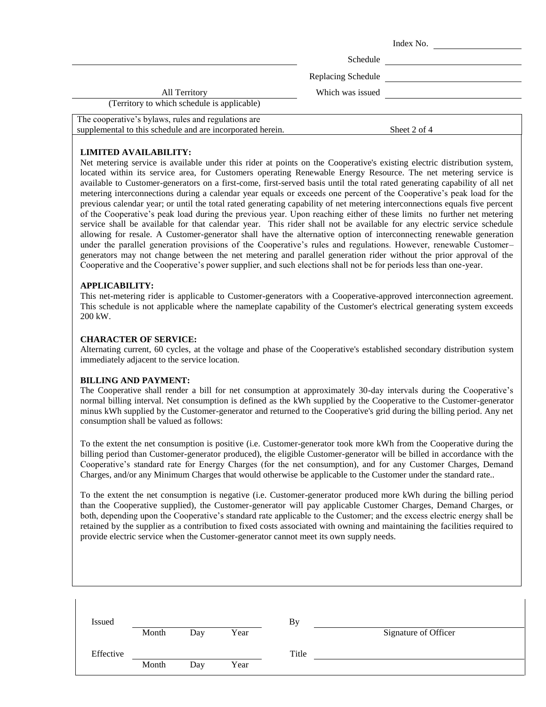|                                                                                                                   |                    | Index No.    |
|-------------------------------------------------------------------------------------------------------------------|--------------------|--------------|
|                                                                                                                   | Schedule           |              |
|                                                                                                                   | Replacing Schedule |              |
| All Territory                                                                                                     | Which was issued   |              |
| (Territory to which schedule is applicable)                                                                       |                    |              |
| The cooperative's bylaws, rules and regulations are<br>supplemental to this schedule and are incorporated herein. |                    | Sheet 2 of 4 |

# **LIMITED AVAILABILITY:**

Net metering service is available under this rider at points on the Cooperative's existing electric distribution system, located within its service area, for Customers operating Renewable Energy Resource. The net metering service is available to Customer-generators on a first-come, first-served basis until the total rated generating capability of all net metering interconnections during a calendar year equals or exceeds one percent of the Cooperative's peak load for the previous calendar year; or until the total rated generating capability of net metering interconnections equals five percent of the Cooperative's peak load during the previous year. Upon reaching either of these limits no further net metering service shall be available for that calendar year. This rider shall not be available for any electric service schedule allowing for resale. A Customer-generator shall have the alternative option of interconnecting renewable generation under the parallel generation provisions of the Cooperative's rules and regulations. However, renewable Customer– generators may not change between the net metering and parallel generation rider without the prior approval of the Cooperative and the Cooperative's power supplier, and such elections shall not be for periods less than one-year.

## **APPLICABILITY:**

This net-metering rider is applicable to Customer-generators with a Cooperative-approved interconnection agreement. This schedule is not applicable where the nameplate capability of the Customer's electrical generating system exceeds 200 kW.

### **CHARACTER OF SERVICE:**

Alternating current, 60 cycles, at the voltage and phase of the Cooperative's established secondary distribution system immediately adjacent to the service location.

### **BILLING AND PAYMENT:**

The Cooperative shall render a bill for net consumption at approximately 30-day intervals during the Cooperative's normal billing interval. Net consumption is defined as the kWh supplied by the Cooperative to the Customer-generator minus kWh supplied by the Customer-generator and returned to the Cooperative's grid during the billing period. Any net consumption shall be valued as follows:

To the extent the net consumption is positive (i.e. Customer-generator took more kWh from the Cooperative during the billing period than Customer-generator produced), the eligible Customer-generator will be billed in accordance with the Cooperative's standard rate for Energy Charges (for the net consumption), and for any Customer Charges, Demand Charges, and/or any Minimum Charges that would otherwise be applicable to the Customer under the standard rate..

To the extent the net consumption is negative (i.e. Customer-generator produced more kWh during the billing period than the Cooperative supplied), the Customer-generator will pay applicable Customer Charges, Demand Charges, or both, depending upon the Cooperative's standard rate applicable to the Customer; and the excess electric energy shall be retained by the supplier as a contribution to fixed costs associated with owning and maintaining the facilities required to provide electric service when the Customer-generator cannot meet its own supply needs.

| Issued    |       |     |      | By    |                      |
|-----------|-------|-----|------|-------|----------------------|
|           | Month | Day | Year |       | Signature of Officer |
| Effective |       |     |      | Title |                      |
|           | Month | Day | Year |       |                      |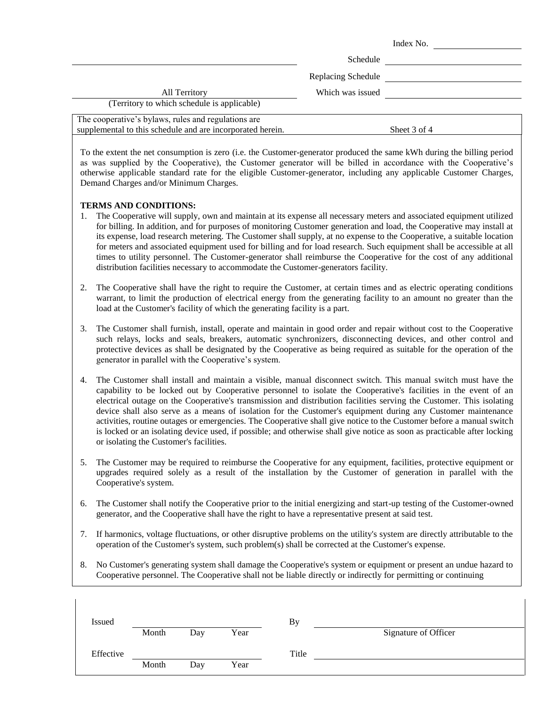|                                                                                                                   |                    | Index No.    |
|-------------------------------------------------------------------------------------------------------------------|--------------------|--------------|
|                                                                                                                   | Schedule           |              |
|                                                                                                                   | Replacing Schedule |              |
| <b>All Territory</b>                                                                                              | Which was issued   |              |
| (Territory to which schedule is applicable)                                                                       |                    |              |
| The cooperative's bylaws, rules and regulations are<br>supplemental to this schedule and are incorporated herein. |                    | Sheet 3 of 4 |

To the extent the net consumption is zero (i.e. the Customer-generator produced the same kWh during the billing period as was supplied by the Cooperative), the Customer generator will be billed in accordance with the Cooperative's otherwise applicable standard rate for the eligible Customer-generator, including any applicable Customer Charges, Demand Charges and/or Minimum Charges.

## **TERMS AND CONDITIONS:**

- 1. The Cooperative will supply, own and maintain at its expense all necessary meters and associated equipment utilized for billing. In addition, and for purposes of monitoring Customer generation and load, the Cooperative may install at its expense, load research metering. The Customer shall supply, at no expense to the Cooperative, a suitable location for meters and associated equipment used for billing and for load research. Such equipment shall be accessible at all times to utility personnel. The Customer-generator shall reimburse the Cooperative for the cost of any additional distribution facilities necessary to accommodate the Customer-generators facility.
- 2. The Cooperative shall have the right to require the Customer, at certain times and as electric operating conditions warrant, to limit the production of electrical energy from the generating facility to an amount no greater than the load at the Customer's facility of which the generating facility is a part.
- 3. The Customer shall furnish, install, operate and maintain in good order and repair without cost to the Cooperative such relays, locks and seals, breakers, automatic synchronizers, disconnecting devices, and other control and protective devices as shall be designated by the Cooperative as being required as suitable for the operation of the generator in parallel with the Cooperative's system.
- 4. The Customer shall install and maintain a visible, manual disconnect switch. This manual switch must have the capability to be locked out by Cooperative personnel to isolate the Cooperative's facilities in the event of an electrical outage on the Cooperative's transmission and distribution facilities serving the Customer. This isolating device shall also serve as a means of isolation for the Customer's equipment during any Customer maintenance activities, routine outages or emergencies. The Cooperative shall give notice to the Customer before a manual switch is locked or an isolating device used, if possible; and otherwise shall give notice as soon as practicable after locking or isolating the Customer's facilities.
- 5. The Customer may be required to reimburse the Cooperative for any equipment, facilities, protective equipment or upgrades required solely as a result of the installation by the Customer of generation in parallel with the Cooperative's system.
- 6. The Customer shall notify the Cooperative prior to the initial energizing and start-up testing of the Customer-owned generator, and the Cooperative shall have the right to have a representative present at said test.
- 7. If harmonics, voltage fluctuations, or other disruptive problems on the utility's system are directly attributable to the operation of the Customer's system, such problem(s) shall be corrected at the Customer's expense.
- 8. No Customer's generating system shall damage the Cooperative's system or equipment or present an undue hazard to Cooperative personnel. The Cooperative shall not be liable directly or indirectly for permitting or continuing

| <b>Issued</b> |       |     |      | By    |                      |
|---------------|-------|-----|------|-------|----------------------|
|               | Month | Day | Year |       | Signature of Officer |
| Effective     |       |     |      | Title |                      |
|               | Month | Day | Year |       |                      |